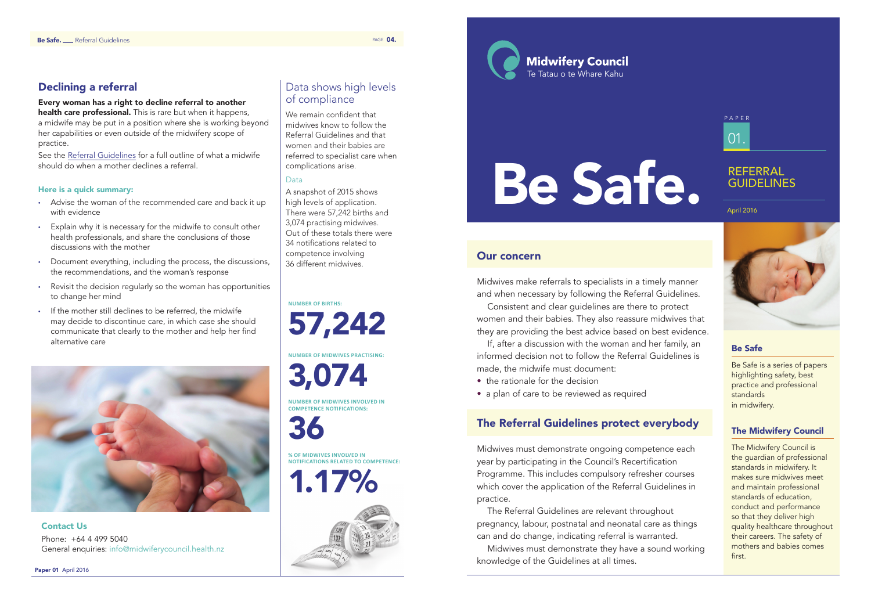# Be Safe

Be Safe is a series of papers highlighting safety, best practice and professional standards in midwifery.

# The Midwifery Council

The Midwifery Council is the guardian of professional standards in midwifery. It makes sure midwives meet and maintain professional standards of education, conduct and performance so that they deliver high quality healthcare throughout their careers. The safety of mothers and babies comes first.

- the rationale for the decision
- a plan of care to be reviewed as required

# Our concern

Midwives make referrals to specialists in a timely manner and when necessary by following the Referral Guidelines.

Consistent and clear guidelines are there to protect women and their babies. They also reassure midwives that they are providing the best advice based on best evidence.

If, after a discussion with the woman and her family, an informed decision not to follow the Referral Guidelines is made, the midwife must document:

# The Referral Guidelines protect everybody

Midwives must demonstrate ongoing competence each year by participating in the Council's Recertification Programme. This includes compulsory refresher courses which cover the application of the Referral Guidelines in practice.

health care professional. This is rare but when it happens, a midwife may be put in a position where she is working beyond her capabilities or even outside of the midwifery scope of practice.

> The Referral Guidelines are relevant throughout pregnancy, labour, postnatal and neonatal care as things can and do change, indicating referral is warranted. Midwives must demonstrate they have a sound working

knowledge of the Guidelines at all times.

Paper 01 April 2016

Data shows high levels of compliance

- Advise the woman of the recommended care and back it up with evidence
- • Explain why it is necessary for the midwife to consult other health professionals, and share the conclusions of those discussions with the mother
- • Document everything, including the process, the discussions, the recommendations, and the woman's response
- • Revisit the decision regularly so the woman has opportunities to change her mind
- • If the mother still declines to be referred, the midwife may decide to discontinue care, in which case she should communicate that clearly to the mother and help her find alternative care



We remain confident that midwives know to follow the Referral Guidelines and that women and their babies are referred to specialist care when complications arise.

**Midwifery Council** Te Tatau o te Whare Kahu

# Data

A snapshot of 2015 shows high levels of application. There were 57,242 births and 3,074 practising midwives. Out of these totals there were 34 notifications related to competence involving 36 different midwives.

**Number of births:**

57,242 **Number of midwives practising:** 3,074 **Number of midwives involved in**

**competence notifications:**

36

**% of midwives involved in notifications related to competence:**

1.17%



# Declining a referral

## Every woman has a right to decline referral to another

See the Referral Guidelines for a full outline of what a midwife should do when a mother declines a referral.

## Here is a quick summary:

Contact Us Phone: +64 4 499 5040 General enquiries: info@midwiferycouncil.health.nz

# Be Safe.

# REFERRAL GUIDELINES

# 01. PAPER

April 2016